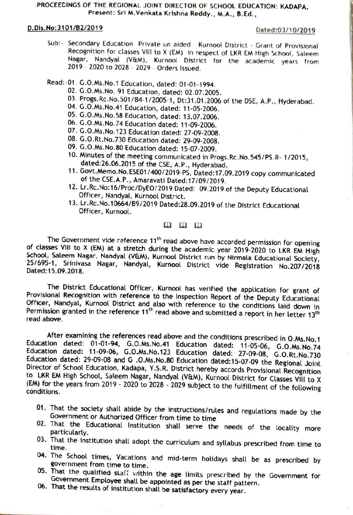## PROCEECINGS OF THE REGIONAL JOINT DIRECTOR OF SCHOoL EDUCATION: KADAPA. Present: Sri M.Venkata Krishna Reddy., M.A., B.Ed.,

## D.Dis.No:3101/B2/2019 Dated:03/10/2019

Sub:- Secondary Education- Private un aided - Kurnool District - Grant of Provisional Recognition for classes Vill to X (EM) in respect of LKR EM High School, Saleem Nagar, Nandyal (V&M), Kurnool District for the academic years from 2019 - 2020 to 2028 - 2029 - Orders Issued.

Read:-01. G.0.Ms.No.1 Education, dated: 01-01-1994.

- 02. G.0.Ms.No. 91 Education, dated: 02.07.2005.
- 03. Progs.Rc. No.501/B4-1/2005-1, Dt:31.01.2006 of the DSE, A.P., Hyderabad. 04. G.0.Ms.No.41 Education, dated: 11-05-2006.
- 
- 05. G.0.Ms.No.58 Education, dated: 13.07.2006.
- 06. G.0.Ms.No.74 Education dated: 11-09-2006.
- 07. G.0.Ms.No.123 Education dated: 27-09-2008.
- 08. G.0.Rt.No.730 Education dated: 29-09-2008.
- 09. G.0.Ms.No.80 Education dated: 15-07-2009.
- 10. Minutes of the meeting communicated in Progs. Rc.No.545/Ps.I1-1/2015, dated:26.06.2015 of the CSE, A.P., Hyderabad. 11. Govt.Memo.No.ESE01/400/2019-PS, Dated:17.09.2019 copy communicated
- of the CSE, A.P., Amaravati Dated:17/09/2019.
- 12. Lr.Rc.No:16/Proc/DyEO/2019 Dated: 09.2019 of the Deputy Educational Officer, Nandyal, Kurnool District.
- 13. Lr.Rc.No.10664/B9/2019 Dated:28.09.2019 of the District Educational Officer, Kurnool.

 $\mathbf{m}$   $\mathbf{m}$   $\mathbf{m}$ 

The Government vide reference 11<sup>th</sup> read above have accorded permission for opening<br>of classes VIII to X (EM) at a stretch during the academic year 2019-2020 to LKR EM High<br>School, Saleem Nagar, Nandyal (V&M), Kurnool Dis Dated:15.09.2018.

The District Educational Officer, Kurnool has verified the application for grant of<br>Provisional Recognition with reference to the Inspection Report of the Deputy Educational<br>Officer, Nandyal, Kurnool District and also wit Provisional Recognition with reference to the Inspection Report of the Deputy Educational

After examining the references read above and the conditions prescribed in O.Ms.No.1<br>Education dated: 01-01-94, G.O.Ms.No.41 Education dated: 11-05-06, G.O.Ms.No.74<br>Education dated: 11-09-06, G.O.Ms.No.123 Education dated:

- 01. That the society shall abide by the instructions/rules and regulations made by the Government or Authorized Officer from time to time<br>02. That the Educational Institution shall serve the needs of the locality more
- 
- particularly.<br>03. That the institution shall adopt the curriculum and syllabus prescribed from time to time.
- 04. The School times, Vacations and mid-term holidays shall be as prescribed by government from time to time.
- 05. That the qualified staff within the age limits prescribed by the Government for Government Employee shall be appointed as per the staff pattern.
- 06. That the results of institution shall be satisfactory every year.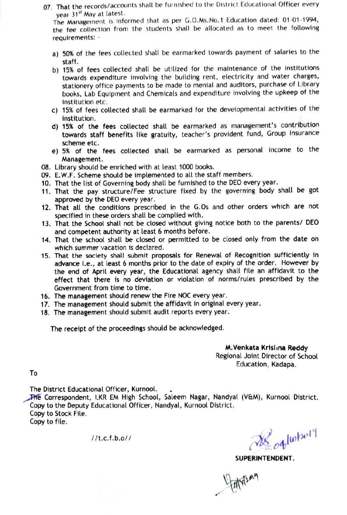07. That the records/accounts shall be furnished to the District Educational Officer every year 31<sup>st</sup> May at latest.

The Management is informed that as per G.0.Ms.No.1 Education dated: 01-01-1994, the fee collection from the students shall be allocated as to meet the following requirements:

- a) 50% of the fees collected shall be earmarked towards payment of salaries to the staff.
- b) 15% of fees collected shall be utilized for the maintenance of the institutions towards expenditure involving the building rent, electricity and water charges, stationery office payments to be made to menial and auditors, purchase of Library books, Lab Equipment and Chemicals and expenditure involving the upkeep of the institution etc.
- c) 15% of fees collected shall be earmarked for the developmental activities of the institution.
- d) 15% of the fees collected shall be earmarked as management's contribution towards staff benefits like gratuity, teacher's provident fund, Group Insurance scheme etc.
- e) 5% of the fees collected shall be earmarked as personal income to the Management.
- 08. Library should be enriched with at least 1000 books.
- 09. E.W.F. Scheme should be implemented to all the staff members.
- 10. That the list of Governing body shall be furnished to the DEO every year.
- 11. That the pay structure/Fee structure fixed by the governing body shall be got approved by the DEO every year.
- 12. That all the conditions prescribed in the G.0s and other orders which are not specified in these orders shall be complied with.
- 13. That the School shall not be closed without giving notice both to the parents/ DEO and competent authority at least 6 months before.
- 14. That the school shall be closed or permitted to be closed only from the date on which summer vacation is declared.
- 15. That the society shall submit proposals for Renewal of Recognition sufficiently in advance i.e., at least 6 months prior to the date of expiry of the order. However by the end of April every year, the Educational agency shall file an affidavit to the effect that there is no deviation or violation of norms/rules prescribed by the Government from time to time.
- 16. The management should renew the Fire NOC every year.
- 17. The management should submit the affidavit in original every year.
- 18. The management should submit audit reports every year.

The receipt of the proceedings should be acknowledged.

M.Venkata Krisl na Reddy Regional Joint Director of School Education, Kadapa.

To

The District Educational Officer, Kurnool.

he Correspondent, LKR EM High School, Saleem Nagar, Nandyal (V&M), Kurnool District. Copy to the Deputy Educational Officer, Nandyal, Kurnool District. Copy to Stock File.

Copy to file.

 $M_{\rm c}$ .e.f.b.o//  $\mathcal{B}_{\rm c}$  alwhol?

SUPERINTENDENT.

Altrag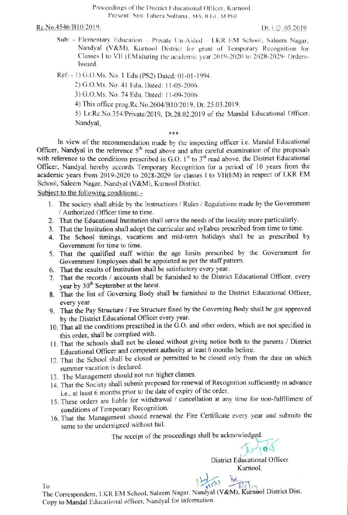Proceedings of the District Educational Officer, Kurnool. Present: Smt Tahera Sultana., MA, B.Ed., M.Phi

 $Rc. No.4546/B10/2019.$  Dt:  $\{Q.05.2019\}$ 

Sub: - Elementary Education - Private Un-Aided - LKR EM School, Saleem Nagar. Nandyal (V&M). Kurnool District for grant of Temporary Recognition for Classes I to VIl (EM)during the academic year 2019-2020 to 2028-2029- Orders-Issued.

Ref: - 1) G.O.Ms. No. 1 Edu (PS2) Dated: 01-01-1994.

2) G.O.Ms. No. 41 Edu. Dated: 11-05-2006.

3) G.O.Ms. No. 74 Edu, Dated: 11-09-2006.

4) This office prog.Rc.No.2604/B10/2019, Dt: 25.03.2019.

5) Lr.Rc.No.354/Private/2019, Dt.28.02.2019 of the Mandal Educational Officer Nandyal  $***$ 

In view of the recommendation made by the inspecting officer i.e. Mandal Educational Officer, Nandyal in the reference  $5<sup>th</sup>$  read above and after careful examination of the proposals with reference to the conditions prescribed in G.O.  $1<sup>st</sup>$  to  $3<sup>rd</sup>$  read above, the District Educational Officer, Nandyal hereby accords Temporary Recognition for a period of 10 years from the academic years from 2019-2020 to 2028-2029 for classes I to VIl(EM) in respect of LKR EM School, Saleem Nagar, Nandyal (V&M). Kurnool District.

Subject to the following conditions: -

- 1. The society shall abide by the Instructions/ Rules/ Regulations made by the Government Authorized Officer time to time.
- 2. That the Educational Institution shall serve the needs of the locality more particularly.
- 3. That the Institution shall adopt the curricular and syllabus preseribed from time to time.
- 4. The School timings, vacations and mid-term holidays shall be as prescribed by Government for time to time.
- 5. That the qualified staff within the age imits prescribed by the Government for Government Employees shall be appointed as per the staff pattern.
- 6. That the results of Institution shall be satisfactory every year.
- 7. That the records/ accounts shall be furnished to the District Educational Officer, every year by 30<sup>th</sup> September at the latest.
- 8. That the list of Governing Body shall be furnished to the District Educational Oficer,
- every year.<br>9. That the Pay Structure / Fee Structure fixed by the Governing Body shall be got approved by the District Educational Officer every year.
- 10. That all the conditions prescribed in the G.0. and other orders, which are not specified in this order, shall be complied with.
- 11. That the schools shall not be closed without giving notice both to the parents / District Educational Officer and competent authority at least 6 months before.
- 12. That the School shall be closed or permitted to be closed only from the date on which summer vacation is declared.
- 13. The Management should not run higher classes.
- 14. That the Society shall submit proposed for renewal of Recognition sufficiently in advance i.e., at least 6 months prior to the date of expiry of the order.
- 15. These orders are liable for withdrawal / cancellation at any time for non-fulfillment of conditions of Temporary Recognition.
- 16. That the Management should renewal the Fre Certificate every year and submits the same to the undersigned without fail.

The receipt of the proceedings shall be acknowledged.

District Educational Officer Kurnool.

To<br>The Correspondent, LKR EM School, Saleem Nagar, Nandyal (V&M), Kurnool District Dist. Copy to Mandal Educational officer, Nandyal for information.